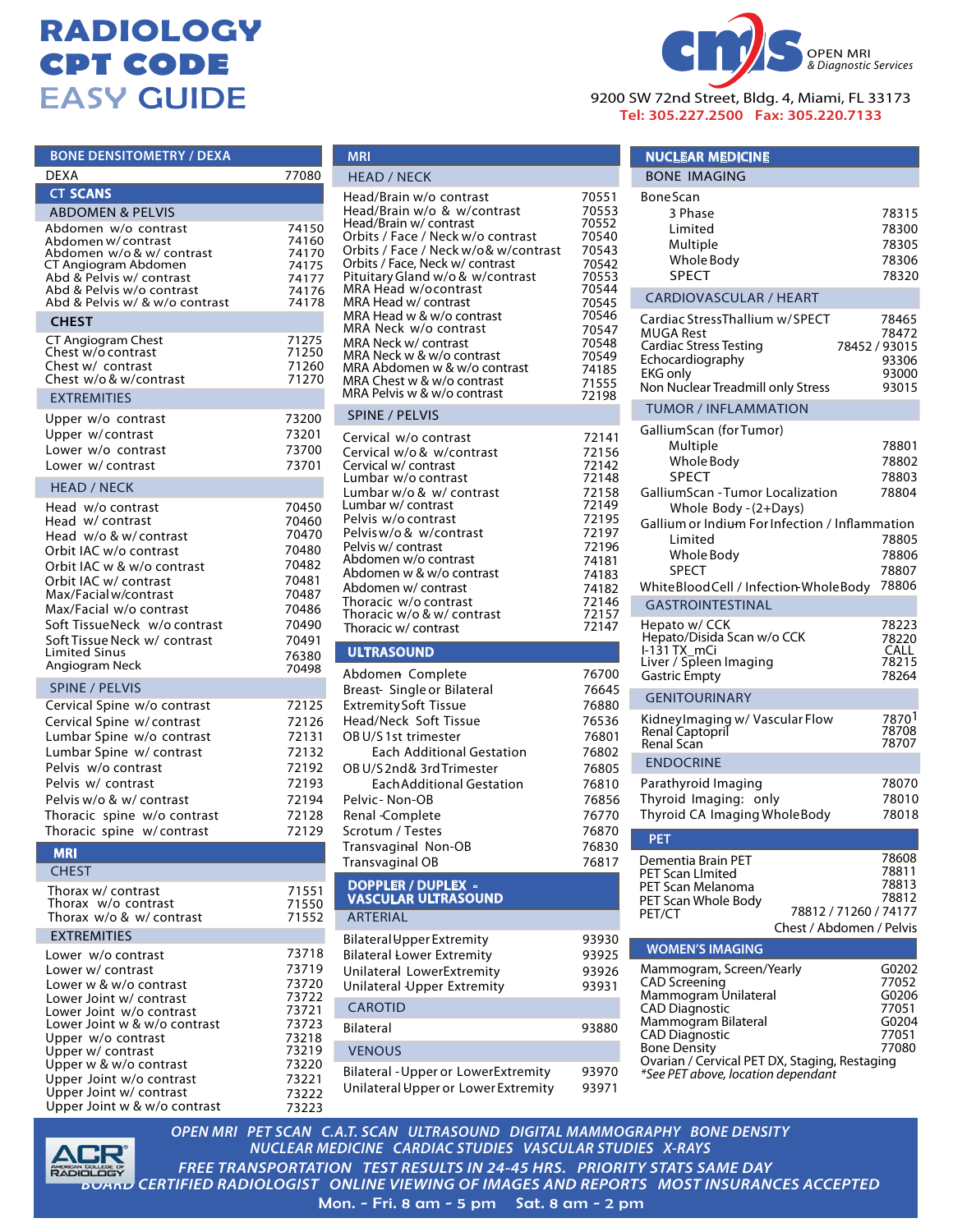## **RADIOLOGY CPT CODE** EASY GUIDE

| <b>BONE DENSITOMETRY / DEXA</b>                                                                                                                                                                                                                                                                        |                                                                                                          |
|--------------------------------------------------------------------------------------------------------------------------------------------------------------------------------------------------------------------------------------------------------------------------------------------------------|----------------------------------------------------------------------------------------------------------|
| DEXA                                                                                                                                                                                                                                                                                                   | 77080                                                                                                    |
| <b>CT SCANS</b>                                                                                                                                                                                                                                                                                        |                                                                                                          |
| <b>ABDOMEN &amp; PELVIS</b>                                                                                                                                                                                                                                                                            |                                                                                                          |
| Abdomen w/o contrast<br>Abdomen w/contrast<br>Abdomen w/o & w/ contrast<br>CT Angiogram Abdomen<br>Abd & Pelvis w/ contrast<br>Abd & Pelvis w/o contrast<br>Abd & Pelvis w/ & w/o contrast                                                                                                             | 74150<br>74160<br>74170<br>74175<br>74177<br>74176<br>74178                                              |
| <b>CHEST</b>                                                                                                                                                                                                                                                                                           |                                                                                                          |
| CT Angiogram Chest<br>Chest w/o contrast<br>Chest w/ contrast<br>Chest w/o & w/contrast                                                                                                                                                                                                                | 71275<br>71250<br>71260<br>71270                                                                         |
| <b>EXTREMITIES</b>                                                                                                                                                                                                                                                                                     |                                                                                                          |
| Upper w/o contrast<br>Upper w/contrast<br>Lower w/o contrast<br>Lower w/ contrast                                                                                                                                                                                                                      | 73200<br>73201<br>73700<br>73701                                                                         |
| <b>HEAD / NECK</b>                                                                                                                                                                                                                                                                                     |                                                                                                          |
| Head w/o contrast<br>Head w/contrast<br>Head w/o & w/contrast<br>Orbit IAC w/o contrast<br>Orbit IAC w & w/o contrast<br>Orbit IAC w/ contrast<br>Max/Facial w/contrast<br>Max/Facial w/o contrast<br>Soft Tissue Neck w/o contrast<br>Soft Tissue Neck w/ contrast<br>Limited Sinus<br>Angiogram Neck | 70450<br>70460<br>70470<br>70480<br>70482<br>70481<br>70487<br>70486<br>70490<br>70491<br>76380<br>70498 |
| <b>SPINE / PELVIS</b>                                                                                                                                                                                                                                                                                  |                                                                                                          |
| Cervical Spine w/o contrast<br>Cervical Spine w/contrast<br>Lumbar Spine w/o contrast<br>Lumbar Spine w/ contrast<br>Pelvis w/o contrast<br>Pelvis w/ contrast<br>Pelvis w/o & w/ contrast<br>Thoracic spine w/o contrast<br>Thoracic spine w/contrast                                                 | 72125<br>72126<br>72131<br>72132<br>72192<br>72193<br>72194<br>72128<br>72129                            |
| <b>MRI</b>                                                                                                                                                                                                                                                                                             |                                                                                                          |
| <b>CHEST</b><br>Thorax w/ contrast<br>Thorax w/o contrast<br>Thorax w/o & w/ contrast<br><b>EXTREMITIES</b>                                                                                                                                                                                            | 71551<br>71550<br>71552                                                                                  |
| Lower w/o contrast                                                                                                                                                                                                                                                                                     | 73718                                                                                                    |
| Lower w/ contrast<br>Lower w & w/o contrast<br>Lower Joint w/ contrast<br>Lower Joint w/o contrast<br>Lower Joint w & w/o contrast<br>Upper w/o contrast<br>Upper w/ contrast<br>Upper w & w/o contrast<br>Upper Joint w/o contrast<br>Upper Joint w/ contrast<br>Upper Joint w & w/o contrast         | 73719<br>73720<br>73722<br>73721<br>73723<br>73218<br>73219<br>73220<br>73221<br>73222<br>73223          |



**MRI**



9200 SW 72nd Street, Bldg. 4, Miami, FL 33173 **Tel: 305.227.2500 Fax: 305.220.7133**

| <b>NUCLEAR MEDICINE</b>                                                                                                                                                                                     |                                                             |
|-------------------------------------------------------------------------------------------------------------------------------------------------------------------------------------------------------------|-------------------------------------------------------------|
| <b>BONE IMAGING</b>                                                                                                                                                                                         |                                                             |
| <b>BoneScan</b><br>3 Phase<br>Limited<br>Multiple<br>Whole Body<br><b>SPECT</b>                                                                                                                             | 78315<br>78300<br>78305<br>78306<br>78320                   |
| <b>CARDIOVASCULAR / HEART</b>                                                                                                                                                                               |                                                             |
| Cardiac StressThallium w/SPECT<br>MUGA Rest<br><b>Cardiac Stress Testing</b><br>Echocardiography<br><b>EKG only</b><br>Non Nuclear Treadmill only Stress                                                    | 78465<br>78472<br>78452 / 93015<br>93306<br>93000<br>93015  |
| <b>TUMOR / INFLAMMATION</b>                                                                                                                                                                                 |                                                             |
| GalliumScan (forTumor)<br>Multiple<br>Whole Body<br><b>SPECT</b><br>GalliumScan - Tumor Localization<br>Whole Body - (2+Days)                                                                               | 78801<br>78802<br>78803<br>78804                            |
| Gallium or Indium For Infection / Inflammation<br>Limited<br>Whole Body<br><b>SPECT</b><br>WhiteBloodCell / Infection-WholeBody                                                                             | 78805<br>78806<br>78807<br>78806                            |
| <b>GASTROINTESTINAL</b>                                                                                                                                                                                     |                                                             |
| Hepato w/ CCK<br>Hepato/Disida Scan w/o CCK<br>I-131 TX mCi<br>Liver / Spleen Imaging<br><b>Gastric Empty</b>                                                                                               | 78223<br>78220<br>CALL<br>78215<br>78264                    |
| <b>GENITOURINARY</b>                                                                                                                                                                                        |                                                             |
| Kidney Imaging w/ Vascular Flow<br>Renal Captopril<br>Renal Scan                                                                                                                                            | 7870<br>78708<br>78707                                      |
| <b>ENDOCRINE</b>                                                                                                                                                                                            |                                                             |
| Parathyroid Imaging<br>Thyroid Imaging: only<br>Thyroid CA Imaging WholeBody                                                                                                                                | 78070<br>78010<br>78018                                     |
| <u>PET</u>                                                                                                                                                                                                  |                                                             |
| Dementia Brain PET<br>PET Scan LImited<br>PET Scan Melanoma<br>PET Scan Whole Body<br>78812 / 71260 / 74177<br>PET/CT<br>Chest / Abdomen / Pelvis                                                           | 78608<br>78811<br>78813<br>78812                            |
| <b>WOMEN'S IMAGING</b>                                                                                                                                                                                      |                                                             |
| Mammogram, Screen/Yearly<br>CAD Screening<br>Mammogram Unilateral<br><b>CAD Diagnostic</b><br>Mammogram Bilateral<br>CAD Diagnostic<br><b>Bone Density</b><br>Ovarian / Cervical PET DX, Staging, Restaging | G0202<br>77052<br>G0206<br>77051<br>G0204<br>77051<br>77080 |
| *See PET above, location dependant                                                                                                                                                                          |                                                             |



*FREE TRANSPORTATION TEST RESULTS IN 24-45 HRS. PRIORITY STATS SAME DAY BOARD CERTIFIED RADIOLOGIST ONLINE VIEWING OF IMAGES AND REPORTS MOST INSURANCES ACCEPTED OPEN MRI PET SCAN C.A.T. SCAN ULTRASOUND DIGITAL MAMMOGRAPHY BONE DENSITY NUCLEAR MEDICINE CARDIAC STUDIES VASCULAR STUDIES X-RAYS*

Mon. - Fri. 8 am - 5 pm Sat. 8 am - 2 pm